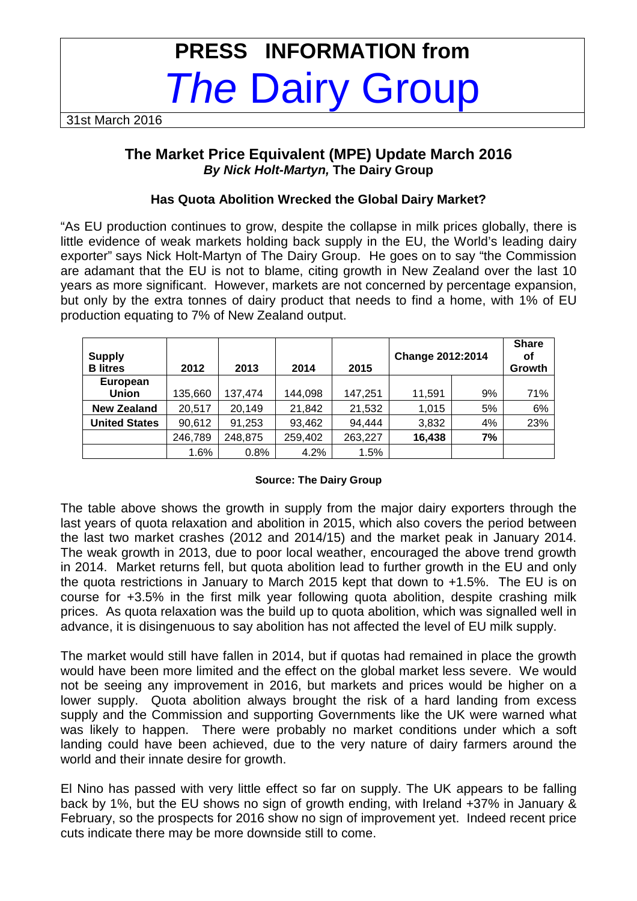# **PRESS INFORMATION from The Dairy Group**

31st March 2016

# **The Market Price Equivalent (MPE) Update March 2016 By Nick Holt-Martyn, The Dairy Group**

## **Has Quota Abolition Wrecked the Global Dairy Market?**

"As EU production continues to grow, despite the collapse in milk prices globally, there is little evidence of weak markets holding back supply in the EU, the World's leading dairy exporter" says Nick Holt-Martyn of The Dairy Group. He goes on to say "the Commission are adamant that the EU is not to blame, citing growth in New Zealand over the last 10 years as more significant. However, markets are not concerned by percentage expansion, but only by the extra tonnes of dairy product that needs to find a home, with 1% of EU production equating to 7% of New Zealand output.

| <b>Supply</b><br><b>B</b> litres | 2012    | 2013    | 2014    | 2015    | Change 2012:2014 |    | <b>Share</b><br>οf<br>Growth |
|----------------------------------|---------|---------|---------|---------|------------------|----|------------------------------|
| <b>European</b><br><b>Union</b>  | 135,660 | 137,474 | 144,098 | 147,251 | 11.591           | 9% | 71%                          |
| <b>New Zealand</b>               | 20,517  | 20,149  | 21,842  | 21,532  | 1,015            | 5% | 6%                           |
| <b>United States</b>             | 90,612  | 91,253  | 93,462  | 94,444  | 3,832            | 4% | 23%                          |
|                                  | 246,789 | 248,875 | 259,402 | 263,227 | 16,438           | 7% |                              |
|                                  | 1.6%    | 0.8%    | 4.2%    | 1.5%    |                  |    |                              |

#### **Source: The Dairy Group**

The table above shows the growth in supply from the major dairy exporters through the last years of quota relaxation and abolition in 2015, which also covers the period between the last two market crashes (2012 and 2014/15) and the market peak in January 2014. The weak growth in 2013, due to poor local weather, encouraged the above trend growth in 2014. Market returns fell, but quota abolition lead to further growth in the EU and only the quota restrictions in January to March 2015 kept that down to +1.5%. The EU is on course for +3.5% in the first milk year following quota abolition, despite crashing milk prices. As quota relaxation was the build up to quota abolition, which was signalled well in advance, it is disingenuous to say abolition has not affected the level of EU milk supply.

The market would still have fallen in 2014, but if quotas had remained in place the growth would have been more limited and the effect on the global market less severe. We would not be seeing any improvement in 2016, but markets and prices would be higher on a lower supply. Quota abolition always brought the risk of a hard landing from excess supply and the Commission and supporting Governments like the UK were warned what was likely to happen. There were probably no market conditions under which a soft landing could have been achieved, due to the very nature of dairy farmers around the world and their innate desire for growth.

El Nino has passed with very little effect so far on supply. The UK appears to be falling back by 1%, but the EU shows no sign of growth ending, with Ireland +37% in January & February, so the prospects for 2016 show no sign of improvement yet. Indeed recent price cuts indicate there may be more downside still to come.